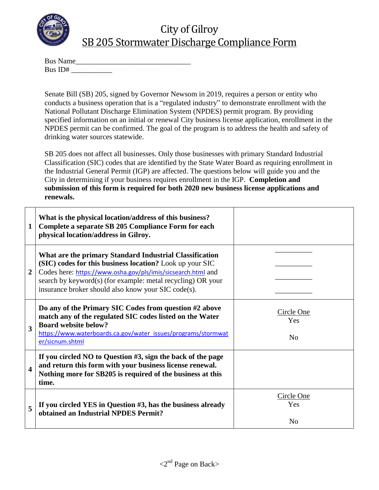

## City of Gilroy SB 205 Stormwater Discharge Compliance Form

| <b>Bus Name</b> |  |  |
|-----------------|--|--|
| Bus ID#         |  |  |

Senate Bill (SB) 205, signed by Governor Newsom in 2019, requires a person or entity who conducts a business operation that is a "regulated industry" to demonstrate enrollment with the National Pollutant Discharge Elimination System (NPDES) permit program. By providing specified information on an initial or renewal City business license application, enrollment in the NPDES permit can be confirmed. The goal of the program is to address the health and safety of drinking water sources statewide.

SB 205 does not affect all businesses. Only those businesses with primary Standard Industrial Classification (SIC) codes that are identified by the State Water Board as requiring enrollment in the Industrial General Permit (IGP) are affected. The questions below will guide you and the City in determining if your business requires enrollment in the IGP. **Completion and submission of this form is required for both 2020 new business license applications and renewals.** 

| $\mathbf{1}$     | What is the physical location/address of this business?<br>Complete a separate SB 205 Compliance Form for each<br>physical location/address in Gilroy.                                                                                                                                                    |                                     |
|------------------|-----------------------------------------------------------------------------------------------------------------------------------------------------------------------------------------------------------------------------------------------------------------------------------------------------------|-------------------------------------|
| $\overline{2}$   | What are the primary Standard Industrial Classification<br>(SIC) codes for this business location? Look up your SIC<br>Codes here: https://www.osha.gov/pls/imis/sicsearch.html and<br>search by keyword(s) (for example: metal recycling) OR your<br>insurance broker should also know your SIC code(s). |                                     |
| 3                | Do any of the Primary SIC Codes from question #2 above<br>match any of the regulated SIC codes listed on the Water<br><b>Board website below?</b><br>https://www.waterboards.ca.gov/water_issues/programs/stormwat<br>er/sicnum.shtml                                                                     | Circle One<br>Yes<br>N <sub>0</sub> |
| $\boldsymbol{4}$ | If you circled NO to Question #3, sign the back of the page<br>and return this form with your business license renewal.<br>Nothing more for SB205 is required of the business at this<br>time.                                                                                                            |                                     |
| 5                | If you circled YES in Question #3, has the business already<br>obtained an Industrial NPDES Permit?                                                                                                                                                                                                       | Circle One<br>Yes<br>N <sub>o</sub> |